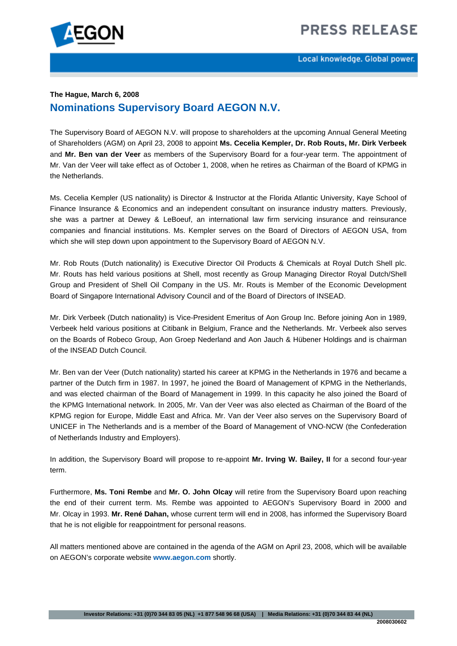

## **The Hague, March 6, 2008 Nominations Supervisory Board AEGON N.V.**

The Supervisory Board of AEGON N.V. will propose to shareholders at the upcoming Annual General Meeting of Shareholders (AGM) on April 23, 2008 to appoint **Ms. Cecelia Kempler, Dr. Rob Routs, Mr. Dirk Verbeek**  and **Mr. Ben van der Veer** as members of the Supervisory Board for a four-year term. The appointment of Mr. Van der Veer will take effect as of October 1, 2008, when he retires as Chairman of the Board of KPMG in the Netherlands.

Ms. Cecelia Kempler (US nationality) is Director & Instructor at the Florida Atlantic University, Kaye School of Finance Insurance & Economics and an independent consultant on insurance industry matters. Previously, she was a partner at Dewey & LeBoeuf, an international law firm servicing insurance and reinsurance companies and financial institutions. Ms. Kempler serves on the Board of Directors of AEGON USA, from which she will step down upon appointment to the Supervisory Board of AEGON N.V.

Mr. Rob Routs (Dutch nationality) is Executive Director Oil Products & Chemicals at Royal Dutch Shell plc. Mr. Routs has held various positions at Shell, most recently as Group Managing Director Royal Dutch/Shell Group and President of Shell Oil Company in the US. Mr. Routs is Member of the Economic Development Board of Singapore International Advisory Council and of the Board of Directors of INSEAD.

Mr. Dirk Verbeek (Dutch nationality) is Vice-President Emeritus of Aon Group Inc. Before joining Aon in 1989, Verbeek held various positions at Citibank in Belgium, France and the Netherlands. Mr. Verbeek also serves on the Boards of Robeco Group, Aon Groep Nederland and Aon Jauch & Hübener Holdings and is chairman of the INSEAD Dutch Council.

Mr. Ben van der Veer (Dutch nationality) started his career at KPMG in the Netherlands in 1976 and became a partner of the Dutch firm in 1987. In 1997, he joined the Board of Management of KPMG in the Netherlands, and was elected chairman of the Board of Management in 1999. In this capacity he also joined the Board of the KPMG International network. In 2005, Mr. Van der Veer was also elected as Chairman of the Board of the KPMG region for Europe, Middle East and Africa. Mr. Van der Veer also serves on the Supervisory Board of UNICEF in The Netherlands and is a member of the Board of Management of VNO-NCW (the Confederation of Netherlands Industry and Employers).

In addition, the Supervisory Board will propose to re-appoint **Mr. Irving W. Bailey, II** for a second four-year term.

Furthermore, **Ms. Toni Rembe** and **Mr. O. John Olcay** will retire from the Supervisory Board upon reaching the end of their current term. Ms. Rembe was appointed to AEGON's Supervisory Board in 2000 and Mr. Olcay in 1993. **Mr. René Dahan,** whose current term will end in 2008, has informed the Supervisory Board that he is not eligible for reappointment for personal reasons.

All matters mentioned above are contained in the agenda of the AGM on April 23, 2008, which will be available on AEGON's corporate website **[www.aegon.com](http://www.aegon.com/)** shortly.